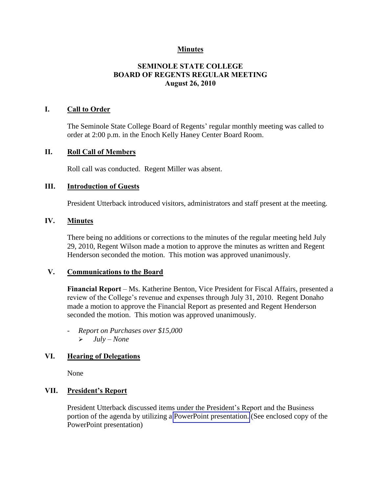# **Minutes**

# **SEMINOLE STATE COLLEGE BOARD OF REGENTS REGULAR MEETING August 26, 2010**

## **I. Call to Order**

The Seminole State College Board of Regents' regular monthly meeting was called to order at 2:00 p.m. in the Enoch Kelly Haney Center Board Room.

#### **II. Roll Call of Members**

Roll call was conducted. Regent Miller was absent.

### **III. Introduction of Guests**

President Utterback introduced visitors, administrators and staff present at the meeting.

### **IV. Minutes**

There being no additions or corrections to the minutes of the regular meeting held July 29, 2010, Regent Wilson made a motion to approve the minutes as written and Regent Henderson seconded the motion. This motion was approved unanimously.

## **V. Communications to the Board**

Financial Report – Ms. Katherine Benton, Vice President for Fiscal Affairs, presented a review of the College's revenue and expenses through July 31, 2010. Regent Donaho made a motion to approve the Financial Report as presented and Regent Henderson seconded the motion. This motion was approved unanimously.

- *Report on Purchases over \$15,000 July – None*

## **VI. Hearing of Delegations**

None

## **VII. President's Report**

President Utterback discussed items under the President's Report and the Business portion of the agenda by utilizing a PowerPoint presentation. (See enclosed copy of the PowerPoint presentation)